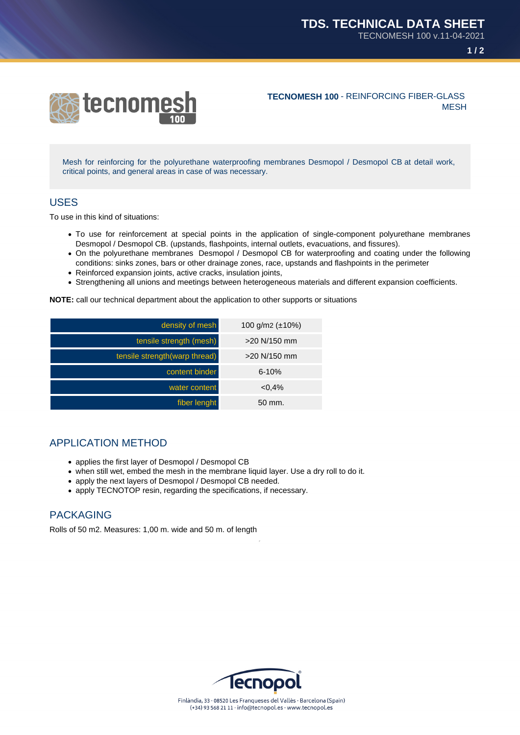



**TECNOMESH 100** - REINFORCING FIBER-GLASS **MESH** 

Mesh for reinforcing for the polyurethane waterproofing membranes Desmopol / Desmopol CB at detail work, critical points, and general areas in case of was necessary.

## USES

To use in this kind of situations:

- To use for reinforcement at special points in the application of single-component polyurethane membranes Desmopol / Desmopol CB. (upstands, flashpoints, internal outlets, evacuations, and fissures).
- On the polyurethane membranes Desmopol / Desmopol CB for waterproofing and coating under the following conditions: sinks zones, bars or other drainage zones, race, upstands and flashpoints in the perimeter
- Reinforced expansion joints, active cracks, insulation joints,
- Strengthening all unions and meetings between heterogeneous materials and different expansion coefficients.

**NOTE:** call our technical department about the application to other supports or situations

| density of mesh                | 100 g/m2 $(\pm 10\%)$ |
|--------------------------------|-----------------------|
| tensile strength (mesh)        | $>20$ N/150 mm        |
| tensile strength (warp thread) | $>20$ N/150 mm        |
| content binder                 | $6 - 10%$             |
| water content                  | $< 0.4\%$             |
| fiber lenght                   | $50 \text{ mm}$ .     |

## APPLICATION METHOD

- applies the first layer of Desmopol / Desmopol CB
- when still wet, embed the mesh in the membrane liquid layer. Use a dry roll to do it.
- apply the next layers of Desmopol / Desmopol CB needed.
- apply TECNOTOP resin, regarding the specifications, if necessary.

## PACKAGING

Rolls of 50 m2. Measures: 1,00 m. wide and 50 m. of length